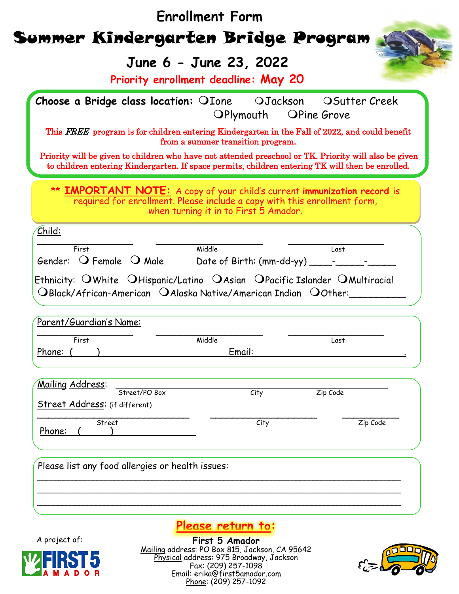|                                                                               | June 6 - June 23, 2022<br>Priority enrollment deadline: May 20                                                                                                                                                                                                |          |
|-------------------------------------------------------------------------------|---------------------------------------------------------------------------------------------------------------------------------------------------------------------------------------------------------------------------------------------------------------|----------|
|                                                                               | Choose a Bridge class location: OIone OJackson OSutter Creek<br>OPlymouth OPine Grove                                                                                                                                                                         |          |
|                                                                               | This FREE program is for children entering Kindergarten in the Fall of 2022, and could benefit<br>from a summer transition program.                                                                                                                           |          |
|                                                                               | Priority will be given to children who have not attended preschool or TK. Priority will also be given<br>to children entering Kindergarten. If space permits, children entering TK will then be enrolled.                                                     |          |
|                                                                               | ** <b>IMPORTANT NOTE:</b> A copy of your child's current immunization record is<br>required for enrollment. Please include a copy with this enrollment form,<br>when turning it in to First 5 Amador.                                                         |          |
| Child:                                                                        |                                                                                                                                                                                                                                                               |          |
|                                                                               |                                                                                                                                                                                                                                                               |          |
| First                                                                         | Middle                                                                                                                                                                                                                                                        | Last     |
|                                                                               | Ethnicity: $\bigcirc$ White $\bigcirc$ Hispanic/Latino $\bigcirc$ Asian $\bigcirc$ Pacific Islander $\bigcirc$ Multiracial<br>$\bigcirc$ Black/African-American $\hspace{0.1 cm}$ O Alaska Native/American Indian $\hspace{0.1 cm}$ O0ther: $\hspace{0.1 cm}$ |          |
| Gender: $\bigcirc$ Female $\bigcirc$ Male<br>Parent/Guardian's Name:<br>First |                                                                                                                                                                                                                                                               |          |
|                                                                               | Middle<br>Email:                                                                                                                                                                                                                                              | Last     |
| Phone: (<br>Mailing Address:                                                  |                                                                                                                                                                                                                                                               |          |
| Street/PO Box<br><b>Street Address:</b> (if different)                        | City                                                                                                                                                                                                                                                          | Zip Code |
| Street<br>Phone:                                                              | City                                                                                                                                                                                                                                                          | Zip Code |

A project of:

O<sub>R</sub> D

# **Please return to:**

**First 5 Amador** Mailing address: PO Box 815, Jackson, CA 95642 Physical address: 975 Broadway, Jackson Fax: (209) 257-1098 Email: erika@first5amador.com Phone: (209) 257-1092

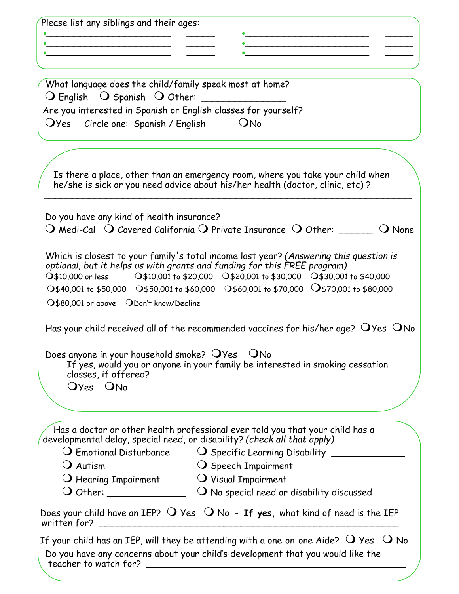| <u> 1980 - Johann Barbara, martin da basar da basar da basar da basar da basar da basar da basar da basar da basa</u> | <u> 1989 - Johann Harry Harry Harry Harry Harry Harry Harry Harry Harry Harry Harry Harry Harry Harry Harry Harry</u>                                           |
|-----------------------------------------------------------------------------------------------------------------------|-----------------------------------------------------------------------------------------------------------------------------------------------------------------|
|                                                                                                                       |                                                                                                                                                                 |
|                                                                                                                       |                                                                                                                                                                 |
| What language does the child/family speak most at home?<br>$\bigcirc$ English $\bigcirc$ Spanish $\bigcirc$ Other:    |                                                                                                                                                                 |
| Are you interested in Spanish or English classes for yourself?                                                        |                                                                                                                                                                 |
| OYes Circle one: Spanish / English ONo                                                                                |                                                                                                                                                                 |
|                                                                                                                       |                                                                                                                                                                 |
|                                                                                                                       |                                                                                                                                                                 |
|                                                                                                                       | Is there a place, other than an emergency room, where you take your child when<br>he/she is sick or you need advice about his/her health (doctor, clinic, etc)? |
| Do you have any kind of health insurance?                                                                             |                                                                                                                                                                 |
|                                                                                                                       | $\bigcirc$ Medi-Cal $\bigcirc$ Covered California $\bigcirc$ Private Insurance $\bigcirc$ Other: ______ $\bigcirc$ None                                         |
|                                                                                                                       |                                                                                                                                                                 |
|                                                                                                                       | Which is closest to your family's total income last year? (Answering this question is                                                                           |
|                                                                                                                       | optional, but it helps us with grants and funding for this FREE program)<br>○\$10,000 or less 0\$10,001 to \$20,000 0\$20,001 to \$30,000 0\$30,001 to \$40,000 |
|                                                                                                                       | ○\$40,001 to \$50,000 ○\$50,001 to \$60,000 ○\$60,001 to \$70,000 ○\$70,001 to \$80,000                                                                         |
| O\$80,001 or above ODon't know/Decline                                                                                |                                                                                                                                                                 |
|                                                                                                                       |                                                                                                                                                                 |
|                                                                                                                       | Has your child received all of the recommended vaccines for his/her age? $\bigcirc$ Yes $\bigcirc$ No                                                           |
| Does anyone in your household smoke? OYes ONo                                                                         |                                                                                                                                                                 |
|                                                                                                                       | If yes, would you or anyone in your family be interested in smoking cessation                                                                                   |
| classes, if offered?                                                                                                  |                                                                                                                                                                 |
| Oyes ONo                                                                                                              |                                                                                                                                                                 |
|                                                                                                                       |                                                                                                                                                                 |
|                                                                                                                       | Has a doctor or other health professional ever told you that your child has a                                                                                   |
|                                                                                                                       | developmental delay, special need, or disability? (check all that apply)                                                                                        |
|                                                                                                                       | $\bigcirc$ Emotional Disturbance $\hspace{1cm}$ $\bigcirc$ Specific Learning Disability $\hspace{1cm}$                                                          |
| $\bigcup$ Autism                                                                                                      | O Speech Impairment                                                                                                                                             |
| $\bigcirc$ Hearing Impairment $\bigcirc$ Visual Impairment                                                            |                                                                                                                                                                 |
|                                                                                                                       |                                                                                                                                                                 |
|                                                                                                                       | Does your child have an IEP? $O$ Yes $O$ No - If yes, what kind of need is the IEP                                                                              |
|                                                                                                                       |                                                                                                                                                                 |
|                                                                                                                       | If your child has an IEP, will they be attending with a one-on-one Aide? $\bigcirc$ Yes $\bigcirc$ No                                                           |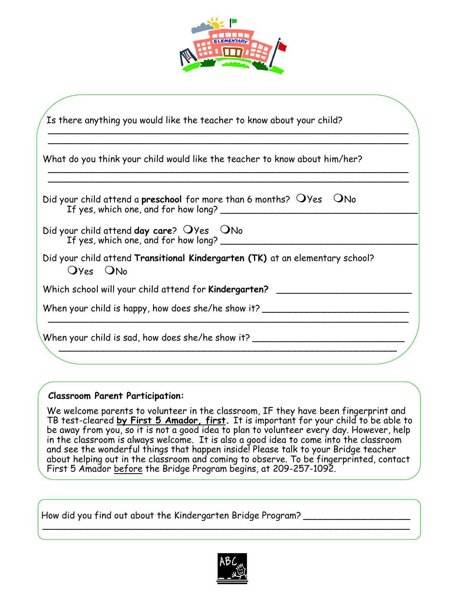

|          | What do you think your child would like the teacher to know about him/her?                 |
|----------|--------------------------------------------------------------------------------------------|
|          | Did your child attend a preschool for more than 6 months? $OYes$ $ONo$                     |
|          | Did your child attend day care? $OYes$ $ONo$<br>If yes, which one, and for how long? _____ |
| Oyes ONo | Did your child attend Transitional Kindergarten (TK) at an elementary school?              |
|          | Which school will your child attend for Kindergarten? __________                           |
|          | When your child is happy, how does she/he show it? _____________________________           |

### **Classroom Parent Participation:**

We welcome parents to volunteer in the classroom, IF they have been fingerprint and TB test-cleared **by First 5 Amador, first.** It is important for your child to be able to be away from you, so it is not a good idea to plan to volunteer every day. However, help in the classroom is always welcome. It is also a good idea to come into the classroom and see the wonderful things that happen inside! Please talk to your Bridge teacher about helping out in the classroom and coming to observe. To be fingerprinted, contact First 5 Amador before the Bridge Program begins, at 209-257-1092.

How did you find out about the Kindergarten Bridge Program? \_\_\_\_\_\_\_\_\_\_\_\_\_\_\_\_\_\_\_\_



\_\_\_\_\_\_\_\_\_\_\_\_\_\_\_\_\_\_\_\_\_\_\_\_\_\_\_\_\_\_\_\_\_\_\_\_\_\_\_\_\_\_\_\_\_\_\_\_\_\_\_\_\_\_\_\_\_\_\_\_\_\_\_\_\_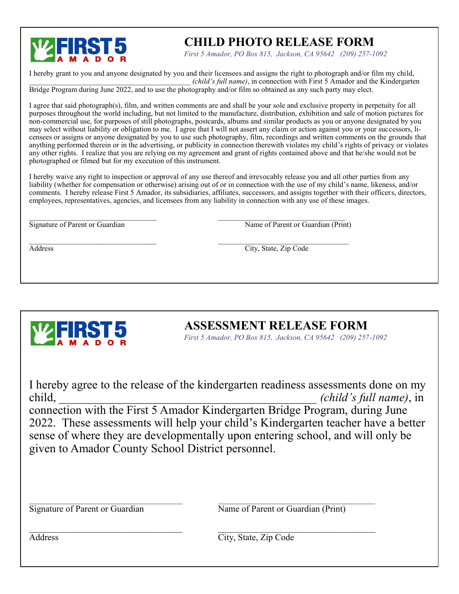

# **CHILD PHOTO RELEASE FORM**

*First 5 Amador, PO Box 815, Jackson, CA 95642 (209) 257-1092*

I hereby grant to you and anyone designated by you and their licensees and assigns the right to photograph and/or film my child, \_\_\_\_\_\_\_\_\_\_\_\_\_\_\_\_\_\_\_\_\_\_\_\_\_\_\_\_\_\_\_\_\_\_\_\_\_\_\_\_\_\_\_ *(child's full name)*, in connection with First 5 Amador and the Kindergarten Bridge Program during June 2022, and to use the photography and/or film so obtained as any such party may elect.

I agree that said photograph(s), film, and written comments are and shall be your sole and exclusive property in perpetuity for all purposes throughout the world including, but not limited to the manufacture, distribution, exhibition and sale of motion pictures for non-commercial use, for purposes of still photographs, postcards, albums and similar products as you or anyone designated by you may select without liability or obligation to me. I agree that I will not assert any claim or action against you or your successors, licensees or assigns or anyone designated by you to use such photography, film, recordings and written comments on the grounds that anything performed therein or in the advertising, or publicity in connection therewith violates my child's rights of privacy or violates any other rights. I realize that you are relying on my agreement and grant of rights contained above and that he/she would not be photographed or filmed but for my execution of this instrument.

I hereby waive any right to inspection or approval of any use thereof and irrevocably release you and all other parties from any liability (whether for compensation or otherwise) arising out of or in connection with the use of my child's name, likeness, and/or comments. I hereby release First 5 Amador, its subsidiaries, affiliates, successors, and assigns together with their officers, directors, employees, representatives, agencies, and licensees from any liability in connection with any use of these images.

 $\mathcal{L}_\text{max}$ Signature of Parent or Guardian Name of Parent or Guardian (Print)

Address City, State, Zip Code

**ASSESSMENT RELEASE FORM**

*First 5 Amador, PO Box 815, Jackson, CA 95642 (209) 257-1092*

I hereby agree to the release of the kindergarten readiness assessments done on my child, \_\_\_\_\_\_\_\_\_\_\_\_\_\_\_\_\_\_\_\_\_\_\_\_\_\_\_\_\_\_\_\_\_\_\_\_\_\_\_\_\_\_\_ *(child's full name)*, in connection with the First 5 Amador Kindergarten Bridge Program, during June 2022. These assessments will help your child's Kindergarten teacher have a better sense of where they are developmentally upon entering school, and will only be given to Amador County School District personnel.

 $\mathcal{L}_\mathcal{L} = \{ \mathcal{L}_\mathcal{L} = \{ \mathcal{L}_\mathcal{L} = \{ \mathcal{L}_\mathcal{L} = \{ \mathcal{L}_\mathcal{L} = \{ \mathcal{L}_\mathcal{L} = \{ \mathcal{L}_\mathcal{L} = \{ \mathcal{L}_\mathcal{L} = \{ \mathcal{L}_\mathcal{L} = \{ \mathcal{L}_\mathcal{L} = \{ \mathcal{L}_\mathcal{L} = \{ \mathcal{L}_\mathcal{L} = \{ \mathcal{L}_\mathcal{L} = \{ \mathcal{L}_\mathcal{L} = \{ \mathcal{L}_\mathcal{$ Signature of Parent or Guardian Name of Parent or Guardian (Print)

Address City, State, Zip Code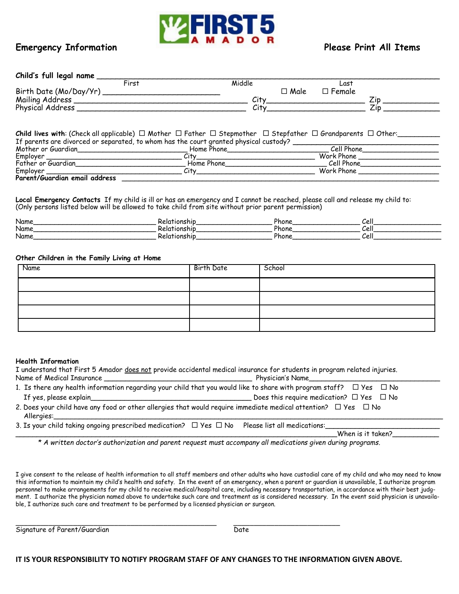

### **Emergency Information Please Print All Items**

| Child's full legal name |       |             |                     |  |
|-------------------------|-------|-------------|---------------------|--|
|                         | First | Middle      | $L$ as <sup>+</sup> |  |
| Birth Date (Mo/Day/Yr)  |       | $\Box$ Male | $\Box$ Female       |  |
| Mailing Address         |       | City        |                     |  |
| Physical Address        |       | City        |                     |  |

**Child lives with**: (Check all applicable)  $\Box$  Mother  $\Box$  Father  $\Box$  Stepmother  $\Box$  Stepfather  $\Box$  Grandparents  $\Box$  Other: If parents are divorced or separated, to whom has the court granted physical custody? \_\_\_\_\_\_\_\_\_\_\_\_\_\_\_\_\_\_\_\_\_\_\_<br>Mother or Guardian Flome Phone Phone Mother or Guardian\_\_\_\_\_\_\_\_\_\_\_\_\_\_\_\_\_\_\_\_\_\_\_\_\_\_ Home Phone\_\_\_\_\_\_\_\_\_\_\_\_\_\_\_\_\_\_\_\_\_\_\_\_ Cell Phone\_\_\_\_\_\_\_\_\_\_\_\_\_\_\_\_\_\_ Employer \_\_\_\_\_\_\_\_\_\_\_\_\_\_\_\_\_\_\_\_\_\_\_\_\_\_\_\_\_\_\_\_ City\_\_\_\_\_\_\_\_\_\_\_\_\_\_\_\_\_\_\_\_\_\_\_\_\_\_\_\_ Work Phone \_\_\_\_\_\_\_\_\_\_\_\_\_\_\_\_\_\_\_ Father or Guardian\_\_\_\_\_\_\_\_\_\_\_\_\_\_\_\_\_\_\_\_\_\_\_\_\_\_ Home Phone\_\_\_\_\_\_\_\_\_\_\_\_\_\_\_\_\_\_\_\_\_\_\_\_ Cell Phone\_\_\_\_\_\_\_\_\_\_\_\_\_\_\_\_\_\_\_  $\nonumber \begin{array}{c|c|c|c|c|c} \hline \text{Emblover} & \text{or} & \text{or} & \text{or} & \text{or} & \text{or} & \text{or} & \text{or} & \text{or} & \text{or} & \text{or} & \text{or} & \text{or} & \text{or} & \text{or} & \text{or} & \text{or} & \text{or} & \text{or} & \text{or} & \text{or} & \text{or} & \text{or} & \text{or} & \text{or} & \text{or} & \text{or} & \text{or} & \text{or} & \text{or} & \text{or} & \text{or} & \text{$ **Parent/Guardian email address** \_\_\_\_\_\_\_\_\_\_\_\_\_\_\_\_\_\_\_\_\_\_\_\_\_\_\_\_\_\_\_\_\_\_\_\_\_\_\_\_\_\_\_\_\_\_\_\_\_\_\_\_\_\_\_\_\_\_\_\_\_\_\_\_\_\_\_\_\_\_\_\_\_\_\_

**Local Emergency Contacts** If my child is ill or has an emergency and I cannot be reached, please call and release my child to: (Only persons listed below will be allowed to take child from site without prior parent permission)

| Name | . | Phon∈ | $\mathbf{C}$<br>◡◡ |
|------|---|-------|--------------------|
| Name |   | Phone | $\mathbf{C}$<br>◡◡ |
| Name |   | Phon⊾ | $\mathbf{C}$<br>◡◟ |

### **Other Children in the Family Living at Home**

| Name | Birth Date | School |
|------|------------|--------|
|      |            |        |
|      |            |        |
|      |            |        |
|      |            |        |

### **Health Information**

| I understand that First 5 Amador does not provide accidental medical insurance for students in program related injuries.                |                                                    |
|-----------------------------------------------------------------------------------------------------------------------------------------|----------------------------------------------------|
|                                                                                                                                         | Physician's Name                                   |
| 1. Is there any health information regarding your child that you would like to share with program staff? $\Box$ Yes $\Box$ No           |                                                    |
|                                                                                                                                         | Does this require medication? $\Box$ Yes $\Box$ No |
| 2. Does your child have any food or other allergies that would require immediate medical attention? $\Box$ Yes $\Box$ No<br>Allergies:_ |                                                    |
| 3. Is your child taking ongoing prescribed medication? $\Box$ Yes $\Box$ No Please list all medications:                                | When is it taken?                                  |

 *\* A written doctor's authorization and parent request must accompany all medications given during programs.*

I give consent to the release of health information to all staff members and other adults who have custodial care of my child and who may need to know this information to maintain my child's health and safety. In the event of an emergency, when a parent or guardian is unavailable, I authorize program personnel to make arrangements for my child to receive medical/hospital care, including necessary transportation, in accordance with their best judgment. I authorize the physician named above to undertake such care and treatment as is considered necessary. In the event said physician is unavailable, I authorize such care and treatment to be performed by a licensed physician or surgeon.

\_\_\_\_\_\_\_\_\_\_\_\_\_\_\_\_\_\_\_\_\_\_\_\_\_\_\_\_\_\_\_\_\_\_\_\_\_\_\_\_\_\_\_\_\_\_\_\_\_ \_\_\_\_\_\_\_\_\_\_\_\_\_\_\_\_\_\_\_\_\_\_\_\_\_\_ Signature of Parent/Guardian Date

**IT IS YOUR RESPONSIBILITY TO NOTIFY PROGRAM STAFF OF ANY CHANGES TO THE INFORMATION GIVEN ABOVE.**